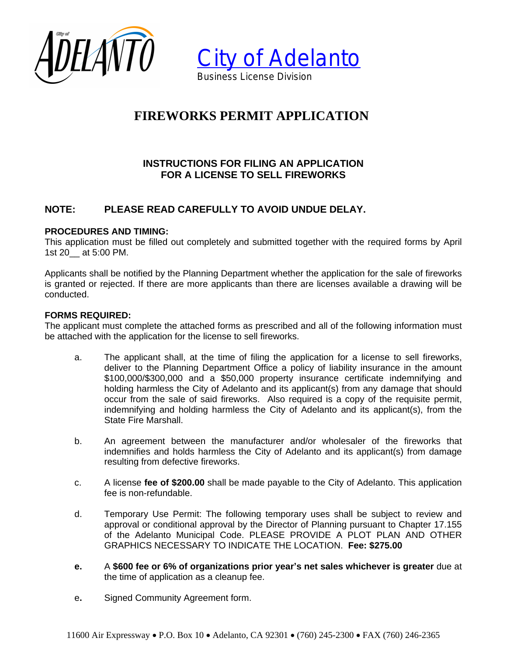



# **FIREWORKS PERMIT APPLICATION**

# **INSTRUCTIONS FOR FILING AN APPLICATION FOR A LICENSE TO SELL FIREWORKS**

# **NOTE: PLEASE READ CAREFULLY TO AVOID UNDUE DELAY.**

### **PROCEDURES AND TIMING:**

This application must be filled out completely and submitted together with the required forms by April 1st 20\_\_ at 5:00 PM.

Applicants shall be notified by the Planning Department whether the application for the sale of fireworks is granted or rejected. If there are more applicants than there are licenses available a drawing will be conducted.

#### **FORMS REQUIRED:**

The applicant must complete the attached forms as prescribed and all of the following information must be attached with the application for the license to sell fireworks.

- a. The applicant shall, at the time of filing the application for a license to sell fireworks, deliver to the Planning Department Office a policy of liability insurance in the amount \$100,000/\$300,000 and a \$50,000 property insurance certificate indemnifying and holding harmless the City of Adelanto and its applicant(s) from any damage that should occur from the sale of said fireworks. Also required is a copy of the requisite permit, indemnifying and holding harmless the City of Adelanto and its applicant(s), from the State Fire Marshall.
- b. An agreement between the manufacturer and/or wholesaler of the fireworks that indemnifies and holds harmless the City of Adelanto and its applicant(s) from damage resulting from defective fireworks.
- c. A license **fee of \$200.00** shall be made payable to the City of Adelanto. This application fee is non-refundable.
- d. Temporary Use Permit: The following temporary uses shall be subject to review and approval or conditional approval by the Director of Planning pursuant to Chapter 17.155 of the Adelanto Municipal Code. PLEASE PROVIDE A PLOT PLAN AND OTHER GRAPHICS NECESSARY TO INDICATE THE LOCATION. **Fee: \$275.00**
- **e.** A **\$600 fee or 6% of organizations prior year's net sales whichever is greater** due at the time of application as a cleanup fee.
- e**.** Signed Community Agreement form.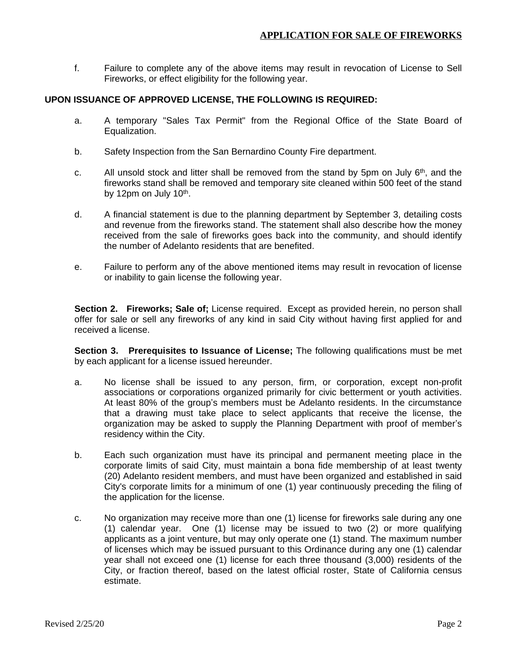f. Failure to complete any of the above items may result in revocation of License to Sell Fireworks, or effect eligibility for the following year.

### **UPON ISSUANCE OF APPROVED LICENSE, THE FOLLOWING IS REQUIRED:**

- a. A temporary "Sales Tax Permit" from the Regional Office of the State Board of Equalization.
- b. Safety Inspection from the San Bernardino County Fire department.
- c. All unsold stock and litter shall be removed from the stand by 5pm on July  $6<sup>th</sup>$ , and the fireworks stand shall be removed and temporary site cleaned within 500 feet of the stand by 12pm on July 10<sup>th</sup>.
- d. A financial statement is due to the planning department by September 3, detailing costs and revenue from the fireworks stand. The statement shall also describe how the money received from the sale of fireworks goes back into the community, and should identify the number of Adelanto residents that are benefited.
- e. Failure to perform any of the above mentioned items may result in revocation of license or inability to gain license the following year.

**Section 2. Fireworks; Sale of;** License required. Except as provided herein, no person shall offer for sale or sell any fireworks of any kind in said City without having first applied for and received a license.

**Section 3. Prerequisites to Issuance of License;** The following qualifications must be met by each applicant for a license issued hereunder.

- a. No license shall be issued to any person, firm, or corporation, except non-profit associations or corporations organized primarily for civic betterment or youth activities. At least 80% of the group's members must be Adelanto residents. In the circumstance that a drawing must take place to select applicants that receive the license, the organization may be asked to supply the Planning Department with proof of member's residency within the City.
- b. Each such organization must have its principal and permanent meeting place in the corporate limits of said City, must maintain a bona fide membership of at least twenty (20) Adelanto resident members, and must have been organized and established in said City's corporate limits for a minimum of one (1) year continuously preceding the filing of the application for the license.
- c. No organization may receive more than one (1) license for fireworks sale during any one (1) calendar year. One (1) license may be issued to two (2) or more qualifying applicants as a joint venture, but may only operate one (1) stand. The maximum number of licenses which may be issued pursuant to this Ordinance during any one (1) calendar year shall not exceed one (1) license for each three thousand (3,000) residents of the City, or fraction thereof, based on the latest official roster, State of California census estimate.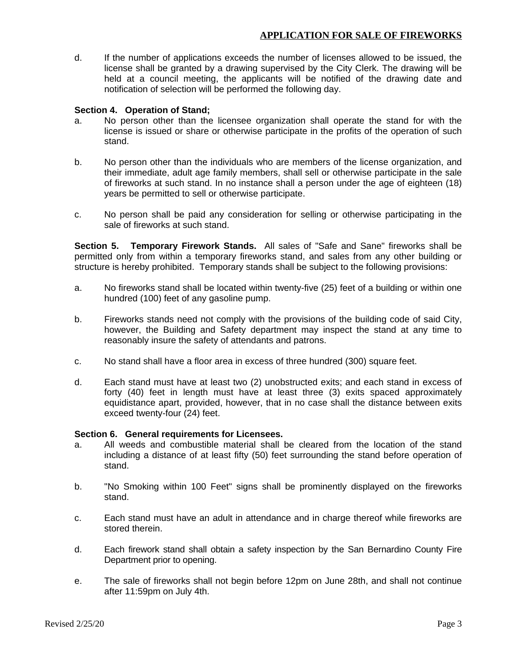d. If the number of applications exceeds the number of licenses allowed to be issued, the license shall be granted by a drawing supervised by the City Clerk. The drawing will be held at a council meeting, the applicants will be notified of the drawing date and notification of selection will be performed the following day.

#### **Section 4. Operation of Stand;**

- a. No person other than the licensee organization shall operate the stand for with the license is issued or share or otherwise participate in the profits of the operation of such stand.
- b. No person other than the individuals who are members of the license organization, and their immediate, adult age family members, shall sell or otherwise participate in the sale of fireworks at such stand. In no instance shall a person under the age of eighteen (18) years be permitted to sell or otherwise participate.
- c. No person shall be paid any consideration for selling or otherwise participating in the sale of fireworks at such stand.

**Section 5. Temporary Firework Stands.** All sales of "Safe and Sane" fireworks shall be permitted only from within a temporary fireworks stand, and sales from any other building or structure is hereby prohibited. Temporary stands shall be subject to the following provisions:

- a. No fireworks stand shall be located within twenty-five (25) feet of a building or within one hundred (100) feet of any gasoline pump.
- b. Fireworks stands need not comply with the provisions of the building code of said City, however, the Building and Safety department may inspect the stand at any time to reasonably insure the safety of attendants and patrons.
- c. No stand shall have a floor area in excess of three hundred (300) square feet.
- d. Each stand must have at least two (2) unobstructed exits; and each stand in excess of forty (40) feet in length must have at least three (3) exits spaced approximately equidistance apart, provided, however, that in no case shall the distance between exits exceed twenty-four (24) feet.

#### **Section 6. General requirements for Licensees.**

- a. All weeds and combustible material shall be cleared from the location of the stand including a distance of at least fifty (50) feet surrounding the stand before operation of stand.
- b. "No Smoking within 100 Feet" signs shall be prominently displayed on the fireworks stand.
- c. Each stand must have an adult in attendance and in charge thereof while fireworks are stored therein.
- d. Each firework stand shall obtain a safety inspection by the San Bernardino County Fire Department prior to opening.
- e. The sale of fireworks shall not begin before 12pm on June 28th, and shall not continue after 11:59pm on July 4th.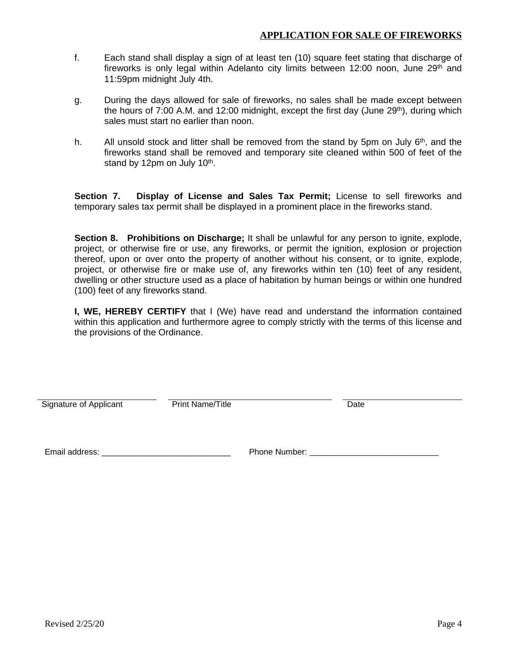- f. Each stand shall display a sign of at least ten (10) square feet stating that discharge of fireworks is only legal within Adelanto city limits between 12:00 noon, June 29<sup>th</sup> and 11:59pm midnight July 4th.
- g. During the days allowed for sale of fireworks, no sales shall be made except between the hours of 7:00 A.M. and 12:00 midnight, except the first day (June 29<sup>th</sup>), during which sales must start no earlier than noon.
- h. All unsold stock and litter shall be removed from the stand by 5pm on July 6<sup>th</sup>, and the fireworks stand shall be removed and temporary site cleaned within 500 of feet of the stand by 12pm on July 10<sup>th</sup>.

**Section 7. Display of License and Sales Tax Permit;** License to sell fireworks and temporary sales tax permit shall be displayed in a prominent place in the fireworks stand.

**Section 8. Prohibitions on Discharge;** It shall be unlawful for any person to ignite, explode, project, or otherwise fire or use, any fireworks, or permit the ignition, explosion or projection thereof, upon or over onto the property of another without his consent, or to ignite, explode, project, or otherwise fire or make use of, any fireworks within ten (10) feet of any resident, dwelling or other structure used as a place of habitation by human beings or within one hundred (100) feet of any fireworks stand.

**I, WE, HEREBY CERTIFY** that I (We) have read and understand the information contained within this application and furthermore agree to comply strictly with the terms of this license and the provisions of the Ordinance.

Signature of Applicant **Print Name/Title Date** Date

Email address: \_\_\_\_\_\_\_\_\_\_\_\_\_\_\_\_\_\_\_\_\_\_\_\_\_\_\_\_ Phone Number: \_\_\_\_\_\_\_\_\_\_\_\_\_\_\_\_\_\_\_\_\_\_\_\_\_\_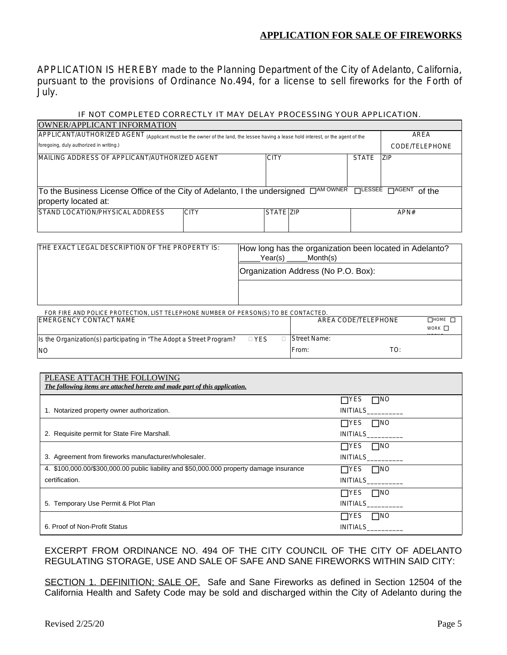APPLICATION IS HEREBY made to the Planning Department of the City of Adelanto, California, pursuant to the provisions of Ordinance No.494, for a license to sell fireworks for the Forth of July.

#### *IF NOT COMPLETED CORRECTLY IT MAY DELAY PROCESSING YOUR APPLICATION.*

| OWNER/APPLICANT INFORMATION                                                                                                                                     |             |             |  |              |                |  |
|-----------------------------------------------------------------------------------------------------------------------------------------------------------------|-------------|-------------|--|--------------|----------------|--|
| APPLICANT/AUTHORIZED AGENT (Applicant must be the owner of the land, the lessee having a lease hold interest, or the agent of the                               | AREA        |             |  |              |                |  |
| foregoing, duly authorized in writing.)                                                                                                                         |             |             |  |              | CODE/TELEPHONE |  |
| IMAILING ADDRESS OF APPLICANT/AUTHORIZED AGENT                                                                                                                  |             | <b>CITY</b> |  | <b>STATE</b> | <b>ZIP</b>     |  |
| $\Box$ LESSEE $\Box$ AGENT<br>To the Business License Office of the City of Adelanto, I the undersigned □ <sup>AM OWNER</sup><br>of the<br>property located at: |             |             |  |              |                |  |
| STAND LOCATION/PHYSICAL ADDRESS                                                                                                                                 | <b>CITY</b> | STATE ZIP   |  |              | APN#           |  |

| THE EXACT LEGAL DESCRIPTION OF THE PROPERTY IS:                                     | How long has the organization been located in Adelanto?<br>Month(s)<br>Year(s) |              |                     |                                   |  |  |  |
|-------------------------------------------------------------------------------------|--------------------------------------------------------------------------------|--------------|---------------------|-----------------------------------|--|--|--|
|                                                                                     | Organization Address (No P.O. Box):                                            |              |                     |                                   |  |  |  |
|                                                                                     |                                                                                |              |                     |                                   |  |  |  |
| FOR FIRE AND POLICE PROTECTION, LIST TELEPHONE NUMBER OF PERSON(S) TO BE CONTACTED. |                                                                                |              |                     |                                   |  |  |  |
| IEMERGENCY CONTACT NAME                                                             |                                                                                |              | AREA CODE/TELEPHONE | $\neg$ HOME $\neg$<br>WORK $\Box$ |  |  |  |
| Is the Organization(s) participating in "The Adopt a Street Program?                | $\Box$ YES                                                                     | Street Name: |                     |                                   |  |  |  |
| INN                                                                                 |                                                                                | From:        | TO:                 |                                   |  |  |  |

| PLEASE ATTACH THE FOLLOWING<br>The following items are attached hereto and made part of this application. |                            |
|-----------------------------------------------------------------------------------------------------------|----------------------------|
|                                                                                                           | $\square$ NO<br>$\Box$ Yes |
| 1. Notarized property owner authorization.                                                                | INITIALS_______            |
|                                                                                                           | $\Box$ YES $\Box$ NO       |
| 2. Requisite permit for State Fire Marshall.                                                              | INITIALS__________         |
|                                                                                                           | $\Box$ YES $\Box$ NO       |
| 3. Agreement from fireworks manufacturer/wholesaler.                                                      | INITIALS__________         |
| 4. \$100,000.00/\$300,000.00 public liability and \$50,000.000 property damage insurance                  | $\Box$ YES $\Box$ NO       |
| certification.                                                                                            | INITIALS________           |
|                                                                                                           | $\Box$ YES $\Box$ NO       |
| 5. Temporary Use Permit & Plot Plan                                                                       | INITIALS_________          |
|                                                                                                           | $\Box$ YES $\Box$ NO       |
| 6. Proof of Non-Profit Status                                                                             |                            |

EXCERPT FROM ORDINANCE NO. 494 OF THE CITY COUNCIL OF THE CITY OF ADELANTO REGULATING STORAGE, USE AND SALE OF SAFE AND SANE FIREWORKS WITHIN SAID CITY:

SECTION 1. DEFINITION; SALE OF. Safe and Sane Fireworks as defined in Section 12504 of the California Health and Safety Code may be sold and discharged within the City of Adelanto during the

NO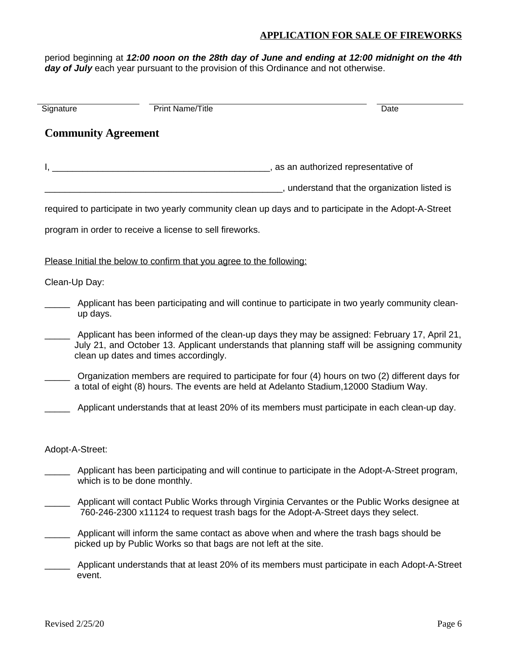period beginning at *12:00 noon on the 28th day of June and ending at 12:00 midnight on the 4th* day of July each year pursuant to the provision of this Ordinance and not otherwise.

| Signature       | Print Name/Title                                                                                                                                            | Date                                                                                                                                                                                            |
|-----------------|-------------------------------------------------------------------------------------------------------------------------------------------------------------|-------------------------------------------------------------------------------------------------------------------------------------------------------------------------------------------------|
|                 | <b>Community Agreement</b>                                                                                                                                  |                                                                                                                                                                                                 |
|                 |                                                                                                                                                             |                                                                                                                                                                                                 |
|                 |                                                                                                                                                             |                                                                                                                                                                                                 |
|                 | required to participate in two yearly community clean up days and to participate in the Adopt-A-Street                                                      |                                                                                                                                                                                                 |
|                 | program in order to receive a license to sell fireworks.                                                                                                    |                                                                                                                                                                                                 |
|                 | Please Initial the below to confirm that you agree to the following:                                                                                        |                                                                                                                                                                                                 |
| Clean-Up Day:   |                                                                                                                                                             |                                                                                                                                                                                                 |
| up days.        | Applicant has been participating and will continue to participate in two yearly community clean-                                                            |                                                                                                                                                                                                 |
|                 | clean up dates and times accordingly.                                                                                                                       | Applicant has been informed of the clean-up days they may be assigned: February 17, April 21,<br>July 21, and October 13. Applicant understands that planning staff will be assigning community |
|                 | a total of eight (8) hours. The events are held at Adelanto Stadium, 12000 Stadium Way.                                                                     | Organization members are required to participate for four (4) hours on two (2) different days for                                                                                               |
|                 | Applicant understands that at least 20% of its members must participate in each clean-up day.                                                               |                                                                                                                                                                                                 |
| Adopt-A-Street: |                                                                                                                                                             |                                                                                                                                                                                                 |
|                 | Applicant has been participating and will continue to participate in the Adopt-A-Street program,<br>which is to be done monthly.                            |                                                                                                                                                                                                 |
|                 | 760-246-2300 x11124 to request trash bags for the Adopt-A-Street days they select.                                                                          | Applicant will contact Public Works through Virginia Cervantes or the Public Works designee at                                                                                                  |
|                 | Applicant will inform the same contact as above when and where the trash bags should be<br>picked up by Public Works so that bags are not left at the site. |                                                                                                                                                                                                 |
| event.          |                                                                                                                                                             | Applicant understands that at least 20% of its members must participate in each Adopt-A-Street                                                                                                  |